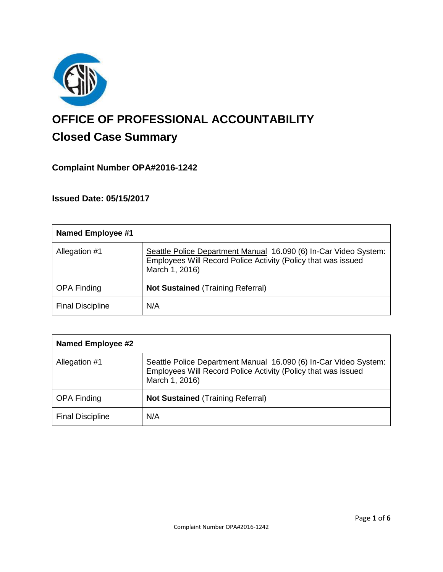

# **OFFICE OF PROFESSIONAL ACCOUNTABILITY Closed Case Summary**

# **Complaint Number OPA#2016-1242**

**Issued Date: 05/15/2017**

| <b>Named Employee #1</b> |                                                                                                                                                     |
|--------------------------|-----------------------------------------------------------------------------------------------------------------------------------------------------|
| Allegation #1            | Seattle Police Department Manual 16.090 (6) In-Car Video System:<br>Employees Will Record Police Activity (Policy that was issued<br>March 1, 2016) |
| <b>OPA Finding</b>       | <b>Not Sustained (Training Referral)</b>                                                                                                            |
| <b>Final Discipline</b>  | N/A                                                                                                                                                 |

| <b>Named Employee #2</b> |                                                                                                                                                     |
|--------------------------|-----------------------------------------------------------------------------------------------------------------------------------------------------|
| Allegation #1            | Seattle Police Department Manual 16.090 (6) In-Car Video System:<br>Employees Will Record Police Activity (Policy that was issued<br>March 1, 2016) |
| <b>OPA Finding</b>       | <b>Not Sustained (Training Referral)</b>                                                                                                            |
| <b>Final Discipline</b>  | N/A                                                                                                                                                 |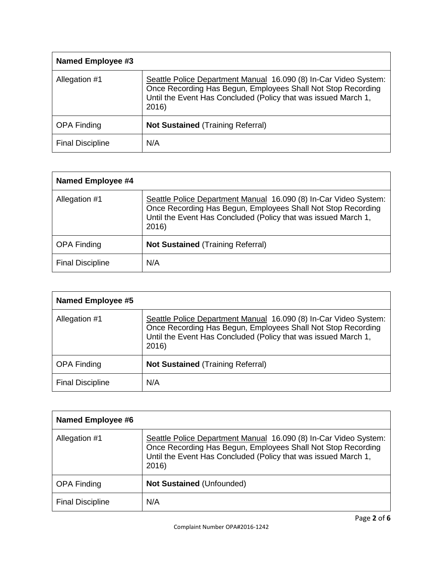| Named Employee #3       |                                                                                                                                                                                                             |
|-------------------------|-------------------------------------------------------------------------------------------------------------------------------------------------------------------------------------------------------------|
| Allegation #1           | Seattle Police Department Manual 16.090 (8) In-Car Video System:<br>Once Recording Has Begun, Employees Shall Not Stop Recording<br>Until the Event Has Concluded (Policy that was issued March 1,<br>2016) |
| <b>OPA Finding</b>      | <b>Not Sustained (Training Referral)</b>                                                                                                                                                                    |
| <b>Final Discipline</b> | N/A                                                                                                                                                                                                         |

| Named Employee #4       |                                                                                                                                                                                                             |
|-------------------------|-------------------------------------------------------------------------------------------------------------------------------------------------------------------------------------------------------------|
| Allegation #1           | Seattle Police Department Manual 16.090 (8) In-Car Video System:<br>Once Recording Has Begun, Employees Shall Not Stop Recording<br>Until the Event Has Concluded (Policy that was issued March 1,<br>2016) |
| <b>OPA Finding</b>      | <b>Not Sustained (Training Referral)</b>                                                                                                                                                                    |
| <b>Final Discipline</b> | N/A                                                                                                                                                                                                         |

| <b>Named Employee #5</b> |                                                                                                                                                                                                             |
|--------------------------|-------------------------------------------------------------------------------------------------------------------------------------------------------------------------------------------------------------|
| Allegation #1            | Seattle Police Department Manual 16.090 (8) In-Car Video System:<br>Once Recording Has Begun, Employees Shall Not Stop Recording<br>Until the Event Has Concluded (Policy that was issued March 1,<br>2016) |
| <b>OPA Finding</b>       | <b>Not Sustained (Training Referral)</b>                                                                                                                                                                    |
| <b>Final Discipline</b>  | N/A                                                                                                                                                                                                         |

| Named Employee #6       |                                                                                                                                                                                                             |
|-------------------------|-------------------------------------------------------------------------------------------------------------------------------------------------------------------------------------------------------------|
| Allegation #1           | Seattle Police Department Manual 16.090 (8) In-Car Video System:<br>Once Recording Has Begun, Employees Shall Not Stop Recording<br>Until the Event Has Concluded (Policy that was issued March 1,<br>2016) |
| <b>OPA Finding</b>      | <b>Not Sustained (Unfounded)</b>                                                                                                                                                                            |
| <b>Final Discipline</b> | N/A                                                                                                                                                                                                         |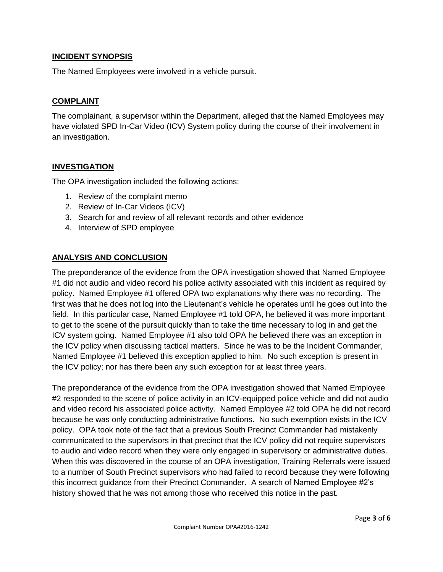# **INCIDENT SYNOPSIS**

The Named Employees were involved in a vehicle pursuit.

# **COMPLAINT**

The complainant, a supervisor within the Department, alleged that the Named Employees may have violated SPD In-Car Video (ICV) System policy during the course of their involvement in an investigation.

# **INVESTIGATION**

The OPA investigation included the following actions:

- 1. Review of the complaint memo
- 2. Review of In-Car Videos (ICV)
- 3. Search for and review of all relevant records and other evidence
- 4. Interview of SPD employee

# **ANALYSIS AND CONCLUSION**

The preponderance of the evidence from the OPA investigation showed that Named Employee #1 did not audio and video record his police activity associated with this incident as required by policy. Named Employee #1 offered OPA two explanations why there was no recording. The first was that he does not log into the Lieutenant's vehicle he operates until he goes out into the field. In this particular case, Named Employee #1 told OPA, he believed it was more important to get to the scene of the pursuit quickly than to take the time necessary to log in and get the ICV system going. Named Employee #1 also told OPA he believed there was an exception in the ICV policy when discussing tactical matters. Since he was to be the Incident Commander, Named Employee #1 believed this exception applied to him. No such exception is present in the ICV policy; nor has there been any such exception for at least three years.

The preponderance of the evidence from the OPA investigation showed that Named Employee #2 responded to the scene of police activity in an ICV-equipped police vehicle and did not audio and video record his associated police activity. Named Employee #2 told OPA he did not record because he was only conducting administrative functions. No such exemption exists in the ICV policy. OPA took note of the fact that a previous South Precinct Commander had mistakenly communicated to the supervisors in that precinct that the ICV policy did not require supervisors to audio and video record when they were only engaged in supervisory or administrative duties. When this was discovered in the course of an OPA investigation, Training Referrals were issued to a number of South Precinct supervisors who had failed to record because they were following this incorrect guidance from their Precinct Commander. A search of Named Employee #2's history showed that he was not among those who received this notice in the past.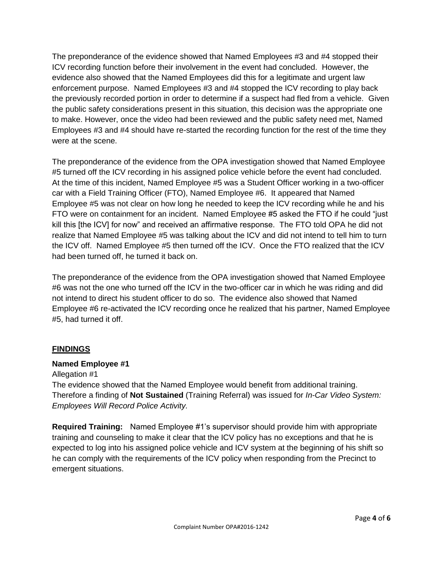The preponderance of the evidence showed that Named Employees #3 and #4 stopped their ICV recording function before their involvement in the event had concluded. However, the evidence also showed that the Named Employees did this for a legitimate and urgent law enforcement purpose. Named Employees #3 and #4 stopped the ICV recording to play back the previously recorded portion in order to determine if a suspect had fled from a vehicle. Given the public safety considerations present in this situation, this decision was the appropriate one to make. However, once the video had been reviewed and the public safety need met, Named Employees #3 and #4 should have re-started the recording function for the rest of the time they were at the scene.

The preponderance of the evidence from the OPA investigation showed that Named Employee #5 turned off the ICV recording in his assigned police vehicle before the event had concluded. At the time of this incident, Named Employee #5 was a Student Officer working in a two-officer car with a Field Training Officer (FTO), Named Employee #6. It appeared that Named Employee #5 was not clear on how long he needed to keep the ICV recording while he and his FTO were on containment for an incident. Named Employee #5 asked the FTO if he could "just kill this [the ICV] for now" and received an affirmative response. The FTO told OPA he did not realize that Named Employee #5 was talking about the ICV and did not intend to tell him to turn the ICV off. Named Employee #5 then turned off the ICV. Once the FTO realized that the ICV had been turned off, he turned it back on.

The preponderance of the evidence from the OPA investigation showed that Named Employee #6 was not the one who turned off the ICV in the two-officer car in which he was riding and did not intend to direct his student officer to do so. The evidence also showed that Named Employee #6 re-activated the ICV recording once he realized that his partner, Named Employee #5, had turned it off.

# **FINDINGS**

#### **Named Employee #1**

#### Allegation #1

The evidence showed that the Named Employee would benefit from additional training. Therefore a finding of **Not Sustained** (Training Referral) was issued for *In-Car Video System: Employees Will Record Police Activity.*

**Required Training:** Named Employee #1's supervisor should provide him with appropriate training and counseling to make it clear that the ICV policy has no exceptions and that he is expected to log into his assigned police vehicle and ICV system at the beginning of his shift so he can comply with the requirements of the ICV policy when responding from the Precinct to emergent situations.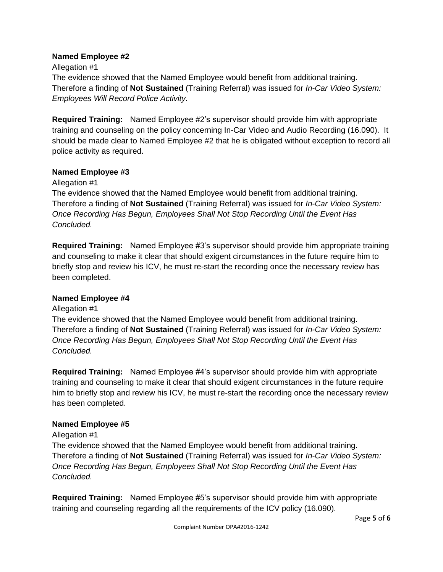#### **Named Employee #2**

Allegation #1

The evidence showed that the Named Employee would benefit from additional training. Therefore a finding of **Not Sustained** (Training Referral) was issued for *In-Car Video System: Employees Will Record Police Activity.*

**Required Training:** Named Employee #2's supervisor should provide him with appropriate training and counseling on the policy concerning In-Car Video and Audio Recording (16.090). It should be made clear to Named Employee #2 that he is obligated without exception to record all police activity as required.

# **Named Employee #3**

Allegation #1

The evidence showed that the Named Employee would benefit from additional training. Therefore a finding of **Not Sustained** (Training Referral) was issued for *In-Car Video System: Once Recording Has Begun, Employees Shall Not Stop Recording Until the Event Has Concluded.*

**Required Training:** Named Employee #3's supervisor should provide him appropriate training and counseling to make it clear that should exigent circumstances in the future require him to briefly stop and review his ICV, he must re-start the recording once the necessary review has been completed.

#### **Named Employee #4**

#### Allegation #1

The evidence showed that the Named Employee would benefit from additional training. Therefore a finding of **Not Sustained** (Training Referral) was issued for *In-Car Video System: Once Recording Has Begun, Employees Shall Not Stop Recording Until the Event Has Concluded.*

**Required Training:** Named Employee #4's supervisor should provide him with appropriate training and counseling to make it clear that should exigent circumstances in the future require him to briefly stop and review his ICV, he must re-start the recording once the necessary review has been completed.

# **Named Employee #5**

#### Allegation #1

The evidence showed that the Named Employee would benefit from additional training. Therefore a finding of **Not Sustained** (Training Referral) was issued for *In-Car Video System: Once Recording Has Begun, Employees Shall Not Stop Recording Until the Event Has Concluded.*

**Required Training:** Named Employee #5's supervisor should provide him with appropriate training and counseling regarding all the requirements of the ICV policy (16.090).